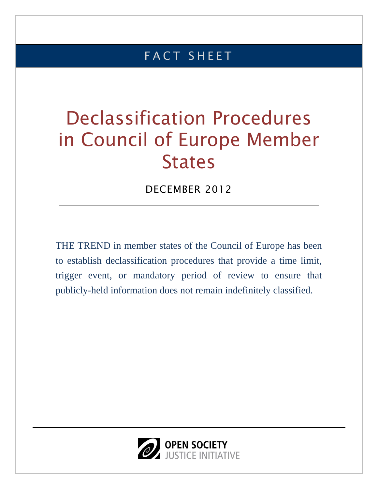# FACT SHEET

# Declassification Procedures in Council of Europe Member States

DECEMBER 2012

THE TREND in member states of the Council of Europe has been to establish declassification procedures that provide a time limit, trigger event, or mandatory period of review to ensure that publicly-held information does not remain indefinitely classified.

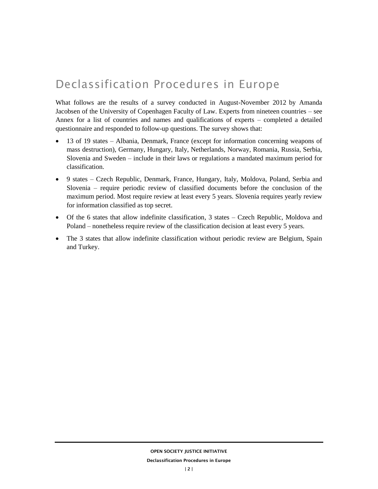# Declassification Procedures in Europe

What follows are the results of a survey conducted in August-November 2012 by Amanda Jacobsen of the University of Copenhagen Faculty of Law. Experts from nineteen countries – see Annex for a list of countries and names and qualifications of experts – completed a detailed questionnaire and responded to follow-up questions. The survey shows that:

- 13 of 19 states Albania, Denmark, France (except for information concerning weapons of mass destruction), Germany, Hungary, Italy, Netherlands, Norway, Romania, Russia, Serbia, Slovenia and Sweden – include in their laws or regulations a mandated maximum period for classification.
- 9 states Czech Republic, Denmark, France, Hungary, Italy, Moldova, Poland, Serbia and Slovenia – require periodic review of classified documents before the conclusion of the maximum period. Most require review at least every 5 years. Slovenia requires yearly review for information classified as top secret.
- Of the 6 states that allow indefinite classification, 3 states Czech Republic, Moldova and Poland – nonetheless require review of the classification decision at least every 5 years.
- The 3 states that allow indefinite classification without periodic review are Belgium, Spain and Turkey.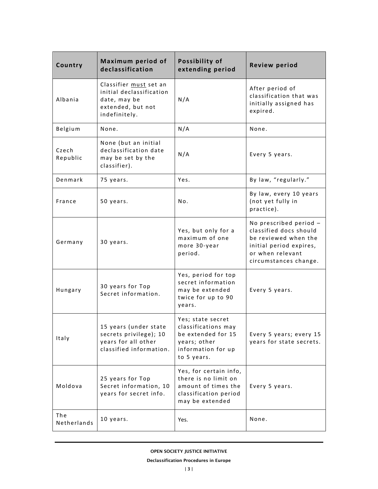| Country            | Maximum period of<br>declassification                                                                    | Possibility of<br>extending period                                                                                  | <b>Review period</b>                                                                                                                             |
|--------------------|----------------------------------------------------------------------------------------------------------|---------------------------------------------------------------------------------------------------------------------|--------------------------------------------------------------------------------------------------------------------------------------------------|
| Albania            | Classifier must set an<br>initial declassification<br>date, may be<br>extended, but not<br>indefinitely. | N/A                                                                                                                 | After period of<br>classification that was<br>initially assigned has<br>expired.                                                                 |
| Belgium            | None.                                                                                                    | N/A                                                                                                                 | None.                                                                                                                                            |
| Czech<br>Republic  | None (but an initial<br>declassification date<br>may be set by the<br>classifier).                       | N/A                                                                                                                 | Every 5 years.                                                                                                                                   |
| Denmark            | 75 years.                                                                                                | Yes.                                                                                                                | By law, "regularly."                                                                                                                             |
| France             | 50 years.                                                                                                | No.                                                                                                                 | By law, every 10 years<br>(not yet fully in<br>practice).                                                                                        |
| Germany            | 30 years.                                                                                                | Yes, but only for a<br>maximum of one<br>more 30-year<br>period.                                                    | No prescribed period -<br>classified docs should<br>be reviewed when the<br>initial period expires,<br>or when relevant<br>circumstances change. |
| Hungary            | 30 years for Top<br>Secret information.                                                                  | Yes, period for top<br>secret information<br>may be extended<br>twice for up to 90<br>years.                        | Every 5 years.                                                                                                                                   |
| Italy              | 15 years (under state<br>secrets privilege); 10<br>years for all other<br>classified information.        | Yes; state secret<br>classifications may<br>be extended for 15<br>years; other<br>information for up<br>to 5 years. | Every 5 years; every 15<br>years for state secrets.                                                                                              |
| Moldova            | 25 years for Top<br>Secret information, 10<br>years for secret info.                                     | Yes, for certain info,<br>there is no limit on<br>amount of times the<br>classification period<br>may be extended   | Every 5 years.                                                                                                                                   |
| The<br>Netherlands | 10 years.                                                                                                | Yes.                                                                                                                | None.                                                                                                                                            |

#### **Declassification Procedures in Europe**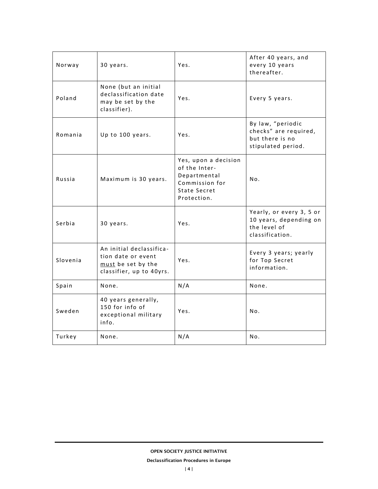| Norway   | 30 years.                                                                                        | Yes.                                                                                                   | After 40 years, and<br>every 10 years<br>thereafter.                                  |
|----------|--------------------------------------------------------------------------------------------------|--------------------------------------------------------------------------------------------------------|---------------------------------------------------------------------------------------|
| Poland   | None (but an initial<br>declassification date<br>may be set by the<br>classifier).               | Yes.                                                                                                   | Every 5 years.                                                                        |
| Romania  | Up to 100 years.                                                                                 | Yes.                                                                                                   | By law, "periodic<br>checks" are required,<br>but there is no<br>stipulated period.   |
| Russia   | Maximum is 30 years.                                                                             | Yes, upon a decision<br>of the Inter-<br>Departmental<br>Commission for<br>State Secret<br>Protection. | No.                                                                                   |
| Serbia   | 30 years.                                                                                        | Yes.                                                                                                   | Yearly, or every 3, 5 or<br>10 years, depending on<br>the level of<br>classification. |
| Slovenia | An initial declassifica-<br>tion date or event<br>must be set by the<br>classifier, up to 40yrs. | Yes.                                                                                                   | Every 3 years; yearly<br>for Top Secret<br>information.                               |
| Spain    | None.                                                                                            | N/A                                                                                                    | None.                                                                                 |
| Sweden   | 40 years generally,<br>150 for info of<br>exceptional military<br>info.                          | Yes.                                                                                                   | No.                                                                                   |
| Turkey   | None.                                                                                            | N/A                                                                                                    | No.                                                                                   |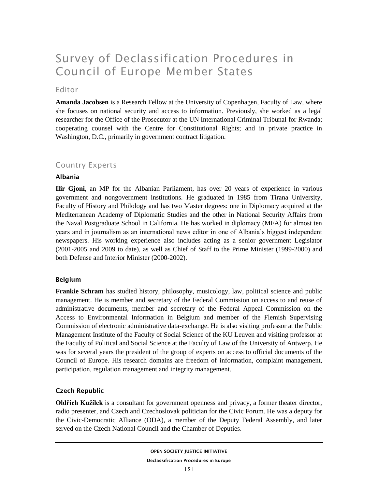# Survey of Declassification Procedures in Council of Europe Member States

# Editor

**Amanda Jacobsen** is a Research Fellow at the University of Copenhagen, Faculty of Law, where she focuses on national security and access to information. Previously, she worked as a legal researcher for the Office of the Prosecutor at the UN International Criminal Tribunal for Rwanda; cooperating counsel with the Centre for Constitutional Rights; and in private practice in Washington, D.C., primarily in government contract litigation.

# Country Experts

# **Albania**

**Ilir Gjoni**, an MP for the Albanian Parliament, has over 20 years of experience in various government and nongovernment institutions. He graduated in 1985 from Tirana University, Faculty of History and Philology and has two Master degrees: one in Diplomacy acquired at the Mediterranean Academy of Diplomatic Studies and the other in National Security Affairs from the Naval Postgraduate School in California. He has worked in diplomacy (MFA) for almost ten years and in journalism as an international news editor in one of Albania's biggest independent newspapers. His working experience also includes acting as a senior government Legislator (2001-2005 and 2009 to date), as well as Chief of Staff to the Prime Minister (1999-2000) and both Defense and Interior Minister (2000-2002).

# **Belgium**

**Frankie Schram** has studied history, philosophy, musicology, law, political science and public management. He is member and secretary of the Federal Commission on access to and reuse of administrative documents, member and secretary of the Federal Appeal Commission on the Access to Environmental Information in Belgium and member of the Flemish Supervising Commission of electronic administrative data-exchange. He is also visiting professor at the Public Management Institute of the Faculty of Social Science of the KU Leuven and visiting professor at the Faculty of Political and Social Science at the Faculty of Law of the University of Antwerp. He was for several years the president of the group of experts on access to official documents of the Council of Europe. His research domains are freedom of information, complaint management, participation, regulation management and integrity management.

# **Czech Republic**

**Oldřich Kužílek** is a consultant for government openness and privacy, a former theater director, radio presenter, and Czech and Czechoslovak politician for the Civic Forum. He was a deputy for the Civic-Democratic Alliance (ODA), a member of the Deputy Federal Assembly, and later served on the Czech National Council and the Chamber of Deputies.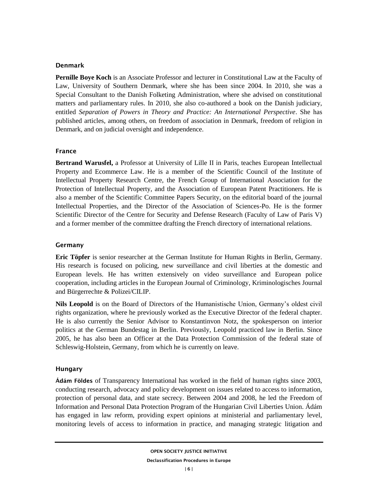#### **Denmark**

**Pernille Boye Koch** is an Associate Professor and lecturer in Constitutional Law at the Faculty of Law, University of Southern Denmark, where she has been since 2004. In 2010, she was a Special Consultant to the Danish Folketing Administration, where she advised on constitutional matters and parliamentary rules. In 2010, she also co-authored a book on the Danish judiciary, entitled *Separation of Powers in Theory and Practice: An International Perspective*. She has published articles, among others, on freedom of association in Denmark, freedom of religion in Denmark, and on judicial oversight and independence.

#### **France**

**Bertrand Warusfel,** a Professor at University of Lille II in Paris, teaches European Intellectual Property and Ecommerce Law. He is a member of the Scientific Council of the Institute of Intellectual Property Research Centre, the French Group of International Association for the Protection of Intellectual Property, and the Association of European Patent Practitioners. He is also a member of the Scientific Committee Papers Security, on the editorial board of the journal Intellectual Properties, and the Director of the Association of Sciences-Po. He is the former Scientific Director of the Centre for Security and Defense Research (Faculty of Law of Paris V) and a former member of the committee drafting the French directory of international relations.

#### **Germany**

**Eric Töpfer** is senior researcher at the German Institute for Human Rights in Berlin, Germany. His research is focused on policing, new surveillance and civil liberties at the domestic and European levels. He has written extensively on video surveillance and European police cooperation, including articles in the European Journal of Criminology, Kriminologisches Journal and Bürgerrechte & Polizei/CILIP.

**Nils Leopold** is on the Board of Directors of the Humanistische Union, Germany's oldest civil rights organization, where he previously worked as the Executive Director of the federal chapter. He is also currently the Senior Advisor to Konstantinvon Notz, the spokesperson on interior politics at the German Bundestag in Berlin. Previously, Leopold practiced law in Berlin. Since 2005, he has also been an Officer at the Data Protection Commission of the federal state of Schleswig-Holstein, Germany, from which he is currently on leave.

#### **Hungary**

**Ádám Földes** of Transparency International has worked in the field of human rights since 2003, conducting research, advocacy and policy development on issues related to access to information, protection of personal data, and state secrecy. Between 2004 and 2008, he led the Freedom of Information and Personal Data Protection Program of the Hungarian Civil Liberties Union. Ádám has engaged in law reform, providing expert opinions at ministerial and parliamentary level, monitoring levels of access to information in practice, and managing strategic litigation and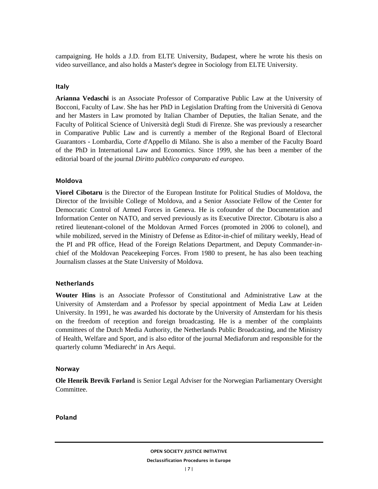campaigning. He holds a J.D. from ELTE University, Budapest, where he wrote his thesis on video surveillance, and also holds a Master's degree in Sociology from ELTE University.

#### **Italy**

**Arianna Vedaschi** is an Associate Professor of Comparative Public Law at the University of Bocconi, Faculty of Law. She has her PhD in Legislation Drafting from the Università di Genova and her Masters in Law promoted by Italian Chamber of Deputies, the Italian Senate, and the Faculty of Political Science of Università degli Studi di Firenze. She was previously a researcher in Comparative Public Law and is currently a member of the Regional Board of Electoral Guarantors - Lombardia, Corte d'Appello di Milano. She is also a member of the Faculty Board of the PhD in International Law and Economics. Since 1999, she has been a member of the editorial board of the journal *Diritto pubblico comparato ed europeo*.

## **Moldova**

**Viorel Cibotaru** is the Director of the European Institute for Political Studies of Moldova, the Director of the Invisible College of Moldova, and a Senior Associate Fellow of the Center for Democratic Control of Armed Forces in Geneva. He is cofounder of the Documentation and Information Center on NATO, and served previously as its Executive Director. Cibotaru is also a retired lieutenant-colonel of the Moldovan Armed Forces (promoted in 2006 to colonel), and while mobilized, served in the Ministry of Defense as Editor-in-chief of military weekly, Head of the PI and PR office, Head of the Foreign Relations Department, and Deputy Commander-inchief of the Moldovan Peacekeeping Forces. From 1980 to present, he has also been teaching Journalism classes at the State University of Moldova.

#### **Netherlands**

**Wouter Hins** is an Associate Professor of Constitutional and Administrative Law at the University of Amsterdam and a Professor by special appointment of Media Law at Leiden University. In 1991, he was awarded his doctorate by the University of Amsterdam for his thesis on the freedom of reception and foreign broadcasting. He is a member of the complaints committees of the Dutch Media Authority, the Netherlands Public Broadcasting, and the Ministry of Health, Welfare and Sport, and is also editor of the journal Mediaforum and responsible for the quarterly column 'Mediarecht' in Ars Aequi.

#### **Norway**

**Ole Henrik Brevik Førland** is Senior Legal Adviser for the Norwegian Parliamentary Oversight Committee.

**Poland**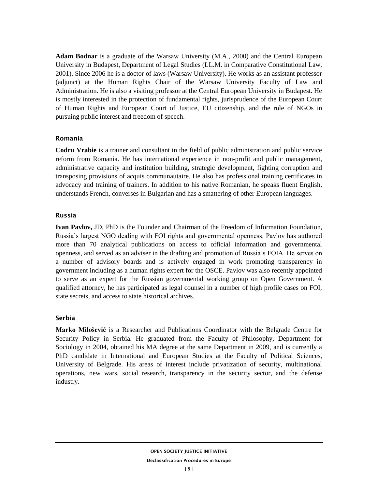**Adam Bodnar** is a graduate of the Warsaw University (M.A., 2000) and the Central European University in Budapest, Department of Legal Studies (LL.M. in Comparative Constitutional Law, 2001). Since 2006 he is a doctor of laws (Warsaw University). He works as an assistant professor (adjunct) at the Human Rights Chair of the Warsaw University Faculty of Law and Administration. He is also a visiting professor at the Central European University in Budapest. He is mostly interested in the protection of fundamental rights, jurisprudence of the European Court of Human Rights and European Court of Justice, EU citizenship, and the role of NGOs in pursuing public interest and freedom of speech.

#### **Romania**

**Codru Vrabie** is a trainer and consultant in the field of public administration and public service reform from Romania. He has international experience in non-profit and public management, administrative capacity and institution building, strategic development, fighting corruption and transposing provisions of acquis communautaire. He also has professional training certificates in advocacy and training of trainers. In addition to his native Romanian, he speaks fluent English, understands French, converses in Bulgarian and has a smattering of other European languages.

#### **Russia**

**Ivan Pavlov,** JD, PhD is the Founder and Chairman of the Freedom of Information Foundation, Russia's largest NGO dealing with FOI rights and governmental openness. Pavlov has authored more than 70 analytical publications on access to official information and governmental openness, and served as an adviser in the drafting and promotion of Russia's FOIA. He serves on a number of advisory boards and is actively engaged in work promoting transparency in government including as a human rights expert for the OSCE. Pavlov was also recently appointed to serve as an expert for the Russian governmental working group on Open Government. A qualified attorney, he has participated as legal counsel in a number of high profile cases on FOI, state secrets, and access to state historical archives.

#### **Serbia**

**Marko Milošević** is a Researcher and Publications Coordinator with the Belgrade Centre for Security Policy in Serbia. He graduated from the Faculty of Philosophy, Department for Sociology in 2004, obtained his MA degree at the same Department in 2009, and is currently a PhD candidate in International and European Studies at the Faculty of Political Sciences, University of Belgrade. His areas of interest include privatization of security, multinational operations, new wars, social research, transparency in the security sector, and the defense industry.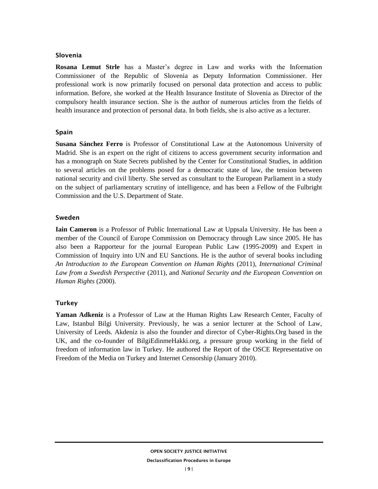#### **Slovenia**

**Rosana Lemut Strle** has a Master's degree in Law and works with the Information Commissioner of the Republic of Slovenia as Deputy Information Commissioner. Her professional work is now primarily focused on personal data protection and access to public information. Before, she worked at the Health Insurance Institute of Slovenia as Director of the compulsory health insurance section. She is the author of numerous articles from the fields of health insurance and protection of personal data. In both fields, she is also active as a lecturer.

## **Spain**

**Susana Sánchez Ferro** is Professor of Constitutional Law at the Autonomous University of Madrid. She is an expert on the right of citizens to access government security information and has a monograph on State Secrets published by the Center for Constitutional Studies, in addition to several articles on the problems posed for a democratic state of law, the tension between national security and civil liberty. She served as consultant to the European Parliament in a study on the subject of parliamentary scrutiny of intelligence, and has been a Fellow of the Fulbright Commission and the U.S. Department of State.

## **Sweden**

**Iain Cameron** is a Professor of Public International Law at Uppsala University. He has been a member of the Council of Europe Commission on Democracy through Law since 2005. He has also been a Rapporteur for the journal European Public Law (1995-2009) and Expert in Commission of Inquiry into UN and EU Sanctions. He is the author of several books including *An Introduction to the European Convention on Human Rights* (2011), *International Criminal Law from a Swedish Perspective* (2011), and *National Security and the European Convention on Human Rights* (2000).

# **Turkey**

**Yaman Adkeniz** is a Professor of Law at the Human Rights Law Research Center, Faculty of Law, Istanbul Bilgi University. Previously, he was a senior lecturer at the School of Law, University of Leeds. Akdeniz is also the founder and director of Cyber-Rights.Org based in the UK, and the co-founder of BilgiEdinmeHakki.org, a pressure group working in the field of freedom of information law in Turkey. He authored the Report of the OSCE Representative on Freedom of the Media on Turkey and Internet Censorship (January 2010).